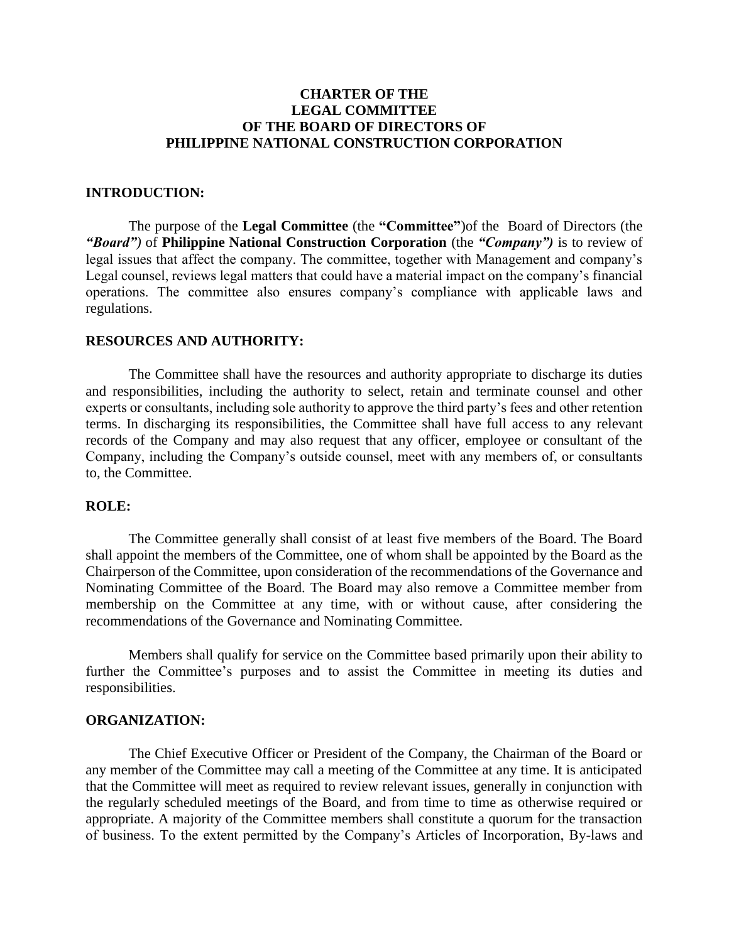# **CHARTER OF THE LEGAL COMMITTEE OF THE BOARD OF DIRECTORS OF PHILIPPINE NATIONAL CONSTRUCTION CORPORATION**

## **INTRODUCTION:**

The purpose of the **Legal Committee** (the **"Committee"**)of the Board of Directors (the *"Board")* of **Philippine National Construction Corporation** (the *"Company")* is to review of legal issues that affect the company. The committee, together with Management and company's Legal counsel, reviews legal matters that could have a material impact on the company's financial operations. The committee also ensures company's compliance with applicable laws and regulations.

## **RESOURCES AND AUTHORITY:**

The Committee shall have the resources and authority appropriate to discharge its duties and responsibilities, including the authority to select, retain and terminate counsel and other experts or consultants, including sole authority to approve the third party's fees and other retention terms. In discharging its responsibilities, the Committee shall have full access to any relevant records of the Company and may also request that any officer, employee or consultant of the Company, including the Company's outside counsel, meet with any members of, or consultants to, the Committee.

#### **ROLE:**

The Committee generally shall consist of at least five members of the Board. The Board shall appoint the members of the Committee, one of whom shall be appointed by the Board as the Chairperson of the Committee, upon consideration of the recommendations of the Governance and Nominating Committee of the Board. The Board may also remove a Committee member from membership on the Committee at any time, with or without cause, after considering the recommendations of the Governance and Nominating Committee.

Members shall qualify for service on the Committee based primarily upon their ability to further the Committee's purposes and to assist the Committee in meeting its duties and responsibilities.

## **ORGANIZATION:**

The Chief Executive Officer or President of the Company, the Chairman of the Board or any member of the Committee may call a meeting of the Committee at any time. It is anticipated that the Committee will meet as required to review relevant issues, generally in conjunction with the regularly scheduled meetings of the Board, and from time to time as otherwise required or appropriate. A majority of the Committee members shall constitute a quorum for the transaction of business. To the extent permitted by the Company's Articles of Incorporation, By-laws and